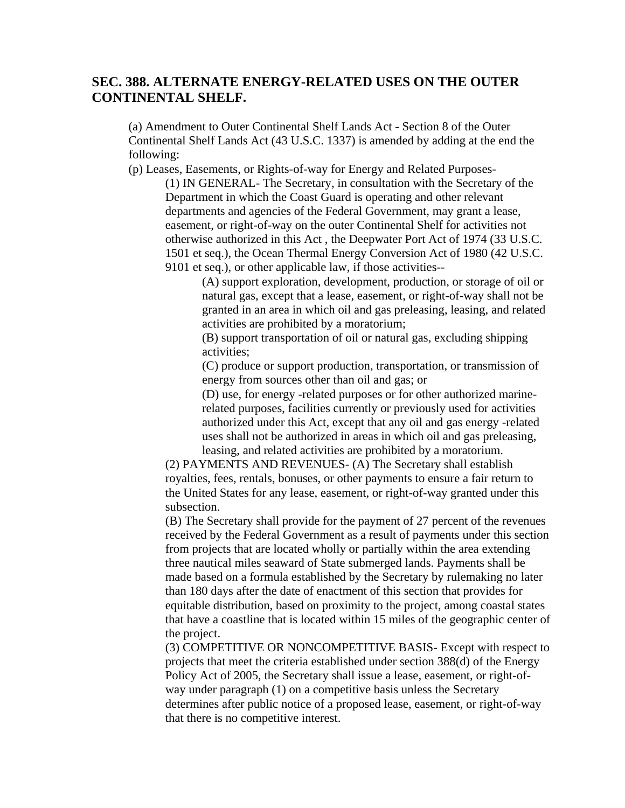## **SEC. 388. ALTERNATE ENERGY-RELATED USES ON THE OUTER CONTINENTAL SHELF.**

(a) Amendment to Outer Continental Shelf Lands Act - Section 8 of the Outer Continental Shelf Lands Act (43 U.S.C. 1337) is amended by adding at the end the following:

(p) Leases, Easements, or Rights-of-way for Energy and Related Purposes-

(1) IN GENERAL- The Secretary, in consultation with the Secretary of the Department in which the Coast Guard is operating and other relevant departments and agencies of the Federal Government, may grant a lease, easement, or right-of-way on the outer Continental Shelf for activities not otherwise authorized in this Act , the Deepwater Port Act of 1974 (33 U.S.C. 1501 et seq.), the Ocean Thermal Energy Conversion Act of 1980 (42 U.S.C. 9101 et seq.), or other applicable law, if those activities--

(A) support exploration, development, production, or storage of oil or natural gas, except that a lease, easement, or right-of-way shall not be granted in an area in which oil and gas preleasing, leasing, and related activities are prohibited by a moratorium;

(B) support transportation of oil or natural gas, excluding shipping activities;

(C) produce or support production, transportation, or transmission of energy from sources other than oil and gas; or

(D) use, for energy -related purposes or for other authorized marinerelated purposes, facilities currently or previously used for activities authorized under this Act, except that any oil and gas energy -related uses shall not be authorized in areas in which oil and gas preleasing, leasing, and related activities are prohibited by a moratorium.

(2) PAYMENTS AND REVENUES- (A) The Secretary shall establish royalties, fees, rentals, bonuses, or other payments to ensure a fair return to the United States for any lease, easement, or right-of-way granted under this subsection.

(B) The Secretary shall provide for the payment of 27 percent of the revenues received by the Federal Government as a result of payments under this section from projects that are located wholly or partially within the area extending three nautical miles seaward of State submerged lands. Payments shall be made based on a formula established by the Secretary by rulemaking no later than 180 days after the date of enactment of this section that provides for equitable distribution, based on proximity to the project, among coastal states that have a coastline that is located within 15 miles of the geographic center of the project.

(3) COMPETITIVE OR NONCOMPETITIVE BASIS- Except with respect to projects that meet the criteria established under section 388(d) of the Energy Policy Act of 2005, the Secretary shall issue a lease, easement, or right-ofway under paragraph (1) on a competitive basis unless the Secretary determines after public notice of a proposed lease, easement, or right-of-way that there is no competitive interest.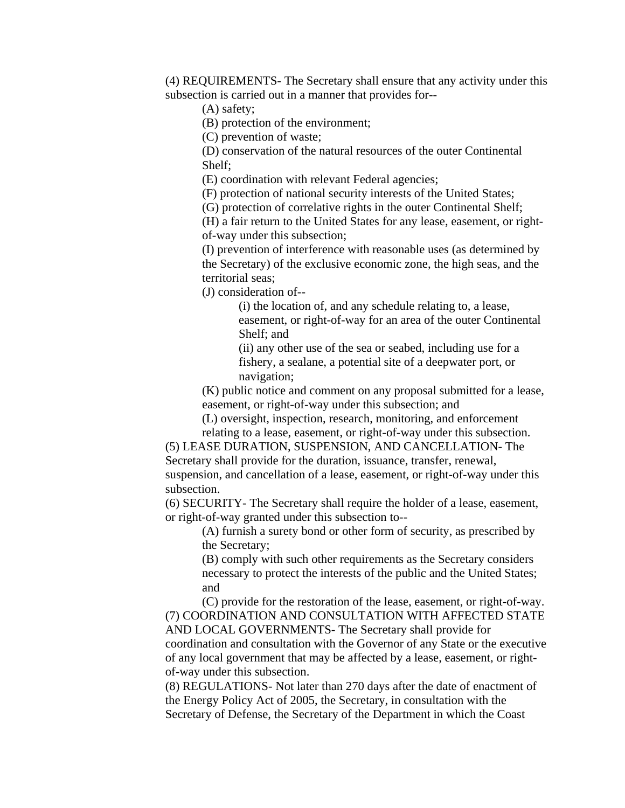(4) REQUIREMENTS- The Secretary shall ensure that any activity under this subsection is carried out in a manner that provides for--

(A) safety;

(B) protection of the environment;

(C) prevention of waste;

(D) conservation of the natural resources of the outer Continental Shelf;

(E) coordination with relevant Federal agencies;

(F) protection of national security interests of the United States;

(G) protection of correlative rights in the outer Continental Shelf;

(H) a fair return to the United States for any lease, easement, or rightof-way under this subsection;

(I) prevention of interference with reasonable uses (as determined by the Secretary) of the exclusive economic zone, the high seas, and the territorial seas;

(J) consideration of--

(i) the location of, and any schedule relating to, a lease, easement, or right-of-way for an area of the outer Continental Shelf; and

(ii) any other use of the sea or seabed, including use for a fishery, a sealane, a potential site of a deepwater port, or navigation;

(K) public notice and comment on any proposal submitted for a lease, easement, or right-of-way under this subsection; and

(L) oversight, inspection, research, monitoring, and enforcement relating to a lease, easement, or right-of-way under this subsection.

(5) LEASE DURATION, SUSPENSION, AND CANCELLATION- The Secretary shall provide for the duration, issuance, transfer, renewal, suspension, and cancellation of a lease, easement, or right-of-way under this subsection.

(6) SECURITY- The Secretary shall require the holder of a lease, easement, or right-of-way granted under this subsection to--

(A) furnish a surety bond or other form of security, as prescribed by the Secretary;

(B) comply with such other requirements as the Secretary considers necessary to protect the interests of the public and the United States; and

(C) provide for the restoration of the lease, easement, or right-of-way. (7) COORDINATION AND CONSULTATION WITH AFFECTED STATE AND LOCAL GOVERNMENTS- The Secretary shall provide for coordination and consultation with the Governor of any State or the executive of any local government that may be affected by a lease, easement, or rightof-way under this subsection.

(8) REGULATIONS- Not later than 270 days after the date of enactment of the Energy Policy Act of 2005, the Secretary, in consultation with the Secretary of Defense, the Secretary of the Department in which the Coast